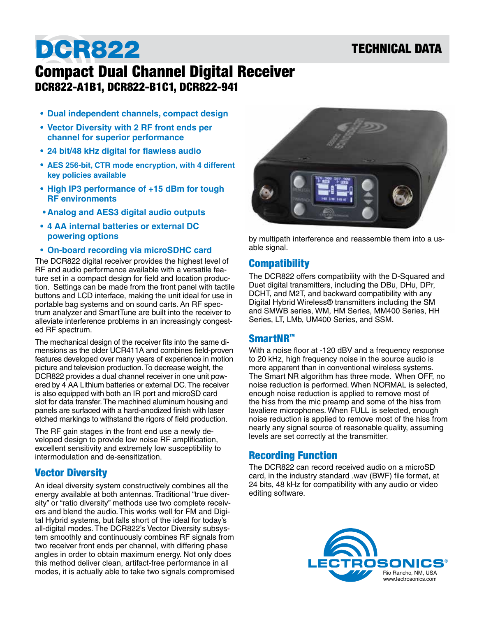## TECHNICAL DATA

# DCR822

## Compact Dual Channel Digital Receiver DCR822-A1B1, DCR822-B1C1, DCR822-941

- **• Dual independent channels, compact design**
- **• Vector Diversity with 2 RF front ends per channel for superior performance**
- **• 24 bit/48 kHz digital for flawless audio**
- **• AES 256-bit, CTR mode encryption, with 4 different key policies available**
- **• High IP3 performance of +15 dBm for tough RF environments**
- **• Analog and AES3 digital audio outputs**
- **• 4 AA internal batteries or external DC powering options**
- **• On-board recording via microSDHC card**

The DCR822 digital receiver provides the highest level of RF and audio performance available with a versatile feature set in a compact design for field and location production. Settings can be made from the front panel with tactile buttons and LCD interface, making the unit ideal for use in portable bag systems and on sound carts. An RF spectrum analyzer and SmartTune are built into the receiver to alleviate interference problems in an increasingly congested RF spectrum.

The mechanical design of the receiver fits into the same dimensions as the older UCR411A and combines field-proven features developed over many years of experience in motion picture and television production. To decrease weight, the DCR822 provides a dual channel receiver in one unit powered by 4 AA Lithium batteries or external DC. The receiver is also equipped with both an IR port and microSD card slot for data transfer. The machined aluminum housing and panels are surfaced with a hard-anodized finish with laser etched markings to withstand the rigors of field production.

The RF gain stages in the front end use a newly developed design to provide low noise RF amplification, excellent sensitivity and extremely low susceptibility to intermodulation and de-sensitization.

## Vector Diversity

An ideal diversity system constructively combines all the energy available at both antennas. Traditional "true diversity" or "ratio diversity" methods use two complete receivers and blend the audio. This works well for FM and Digital Hybrid systems, but falls short of the ideal for today's all-digital modes. The DCR822's Vector Diversity subsystem smoothly and continuously combines RF signals from two receiver front ends per channel, with differing phase angles in order to obtain maximum energy. Not only does this method deliver clean, artifact-free performance in all modes, it is actually able to take two signals compromised



by multipath interference and reassemble them into a usable signal.

### **Compatibility**

The DCR822 offers compatibility with the D-Squared and Duet digital transmitters, including the DBu, DHu, DPr, DCHT, and M2T, and backward compatibility with any Digital Hybrid Wireless® transmitters including the SM and SMWB series, WM, HM Series, MM400 Series, HH Series, LT, LMb, UM400 Series, and SSM.

### SmartNR™

With a noise floor at -120 dBV and a frequency response to 20 kHz, high frequency noise in the source audio is more apparent than in conventional wireless systems. The Smart NR algorithm has three mode. When OFF, no noise reduction is performed. When NORMAL is selected, enough noise reduction is applied to remove most of the hiss from the mic preamp and some of the hiss from lavaliere microphones. When FULL is selected, enough noise reduction is applied to remove most of the hiss from nearly any signal source of reasonable quality, assuming levels are set correctly at the transmitter.

## Recording Function

The DCR822 can record received audio on a microSD card, in the industry standard .wav (BWF) file format, at 24 bits, 48 kHz for compatibility with any audio or video editing software.